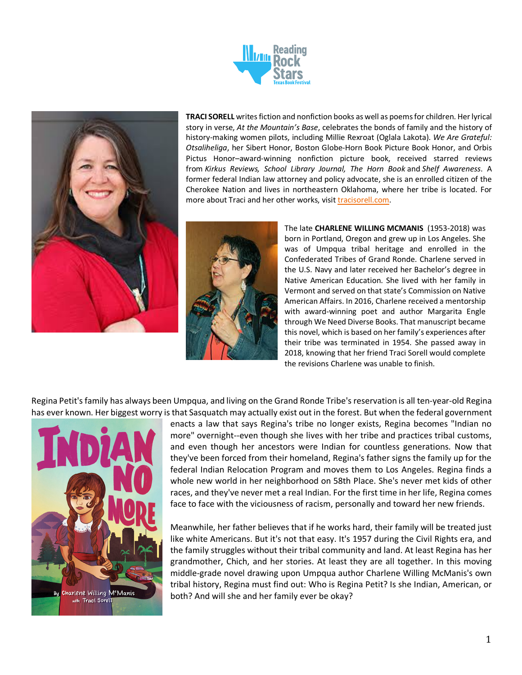



**TRACI SORELL** writes fiction and nonfiction books as well as poems for children. Her lyrical story in verse, *At the Mountain's Base*, celebrates the bonds of family and the history of history-making women pilots, including Millie Rexroat (Oglala Lakota). *We Are Grateful: Otsaliheliga*, her Sibert Honor, Boston Globe-Horn Book Picture Book Honor, and Orbis Pictus Honor–award-winning nonfiction picture book, received starred reviews from *Kirkus Reviews, School Library Journal, The Horn Book* and *Shelf Awareness*. A former federal Indian law attorney and policy advocate, she is an enrolled citizen of the Cherokee Nation and lives in northeastern Oklahoma, where her tribe is located. For more about Traci and her other works, visit tracisorell.com.



The late **CHARLENE WILLING MCMANIS** (1953-2018) was born in Portland, Oregon and grew up in Los Angeles. She was of Umpqua tribal heritage and enrolled in the Confederated Tribes of Grand Ronde. Charlene served in the U.S. Navy and later received her Bachelor's degree in Native American Education. She lived with her family in Vermont and served on that state's Commission on Native American Affairs. In 2016, Charlene received a mentorship with award-winning poet and author Margarita Engle through We Need Diverse Books. That manuscript became this novel, which is based on her family's experiences after their tribe was terminated in 1954. She passed away in 2018, knowing that her friend Traci Sorell would complete the revisions Charlene was unable to finish.

Regina Petit's family has always been Umpqua, and living on the Grand Ronde Tribe's reservation is all ten-year-old Regina has ever known. Her biggest worry is that Sasquatch may actually exist out in the forest. But when the federal government



enacts a law that says Regina's tribe no longer exists, Regina becomes "Indian no more" overnight--even though she lives with her tribe and practices tribal customs, and even though her ancestors were Indian for countless generations. Now that they've been forced from their homeland, Regina's father signs the family up for the federal Indian Relocation Program and moves them to Los Angeles. Regina finds a whole new world in her neighborhood on 58th Place. She's never met kids of other races, and they've never met a real Indian. For the first time in her life, Regina comes face to face with the viciousness of racism, personally and toward her new friends.

Meanwhile, her father believes that if he works hard, their family will be treated just like white Americans. But it's not that easy. It's 1957 during the Civil Rights era, and the family struggles without their tribal community and land. At least Regina has her grandmother, Chich, and her stories. At least they are all together. In this moving middle-grade novel drawing upon Umpqua author Charlene Willing McManis's own tribal history, Regina must find out: Who is Regina Petit? Is she Indian, American, or both? And will she and her family ever be okay?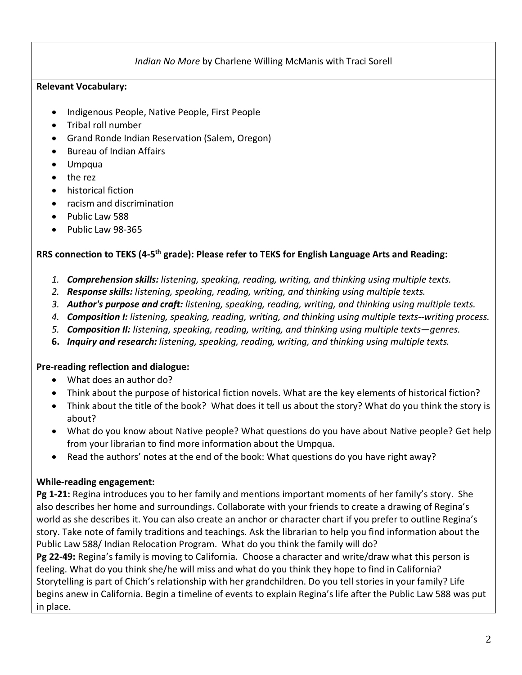## *Indian No More* by Charlene Willing McManis with Traci Sorell

#### **Relevant Vocabulary:**

- Indigenous People, Native People, First People
- Tribal roll number
- Grand Ronde Indian Reservation (Salem, Oregon)
- Bureau of Indian Affairs
- Umpqua
- the rez
- historical fiction
- racism and discrimination
- Public Law 588
- Public Law 98-365

#### **RRS connection to TEKS (4-5th grade): Please refer to TEKS for English Language Arts and Reading:**

- *1. Comprehension skills: listening, speaking, reading, writing, and thinking using multiple texts.*
- *2. Response skills: listening, speaking, reading, writing, and thinking using multiple texts.*
- *3. Author's purpose and craft: listening, speaking, reading, writing, and thinking using multiple texts.*
- *4. Composition I: listening, speaking, reading, writing, and thinking using multiple texts--writing process.*
- *5. Composition II: listening, speaking, reading, writing, and thinking using multiple texts—genres.*
- **6.** *Inquiry and research: listening, speaking, reading, writing, and thinking using multiple texts.*

#### **Pre-reading reflection and dialogue:**

- What does an author do?
- Think about the purpose of historical fiction novels. What are the key elements of historical fiction?
- Think about the title of the book? What does it tell us about the story? What do you think the story is about?
- What do you know about Native people? What questions do you have about Native people? Get help from your librarian to find more information about the Umpqua.
- Read the authors' notes at the end of the book: What questions do you have right away?

## **While-reading engagement:**

**Pg 1-21:** Regina introduces you to her family and mentions important moments of her family's story. She also describes her home and surroundings. Collaborate with your friends to create a drawing of Regina's world as she describes it. You can also create an anchor or character chart if you prefer to outline Regina's story. Take note of family traditions and teachings. Ask the librarian to help you find information about the Public Law 588/ Indian Relocation Program. What do you think the family will do?

**Pg 22-49:** Regina's family is moving to California. Choose a character and write/draw what this person is feeling. What do you think she/he will miss and what do you think they hope to find in California? Storytelling is part of Chich's relationship with her grandchildren. Do you tell stories in your family? Life begins anew in California. Begin a timeline of events to explain Regina's life after the Public Law 588 was put in place.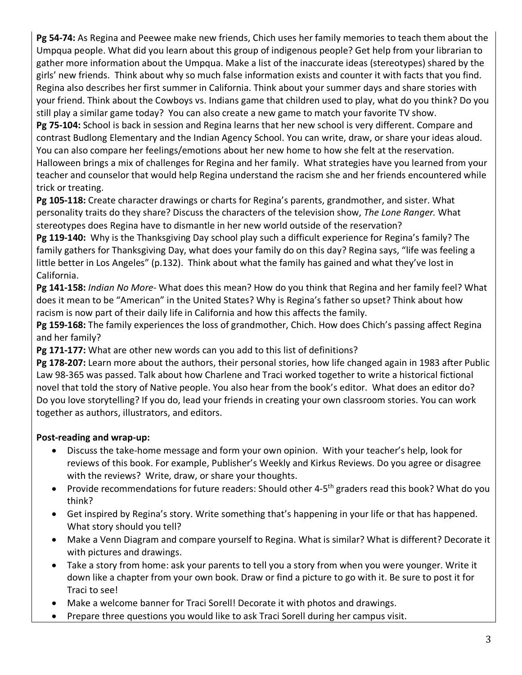**Pg 54-74:** As Regina and Peewee make new friends, Chich uses her family memories to teach them about the Umpqua people. What did you learn about this group of indigenous people? Get help from your librarian to gather more information about the Umpqua. Make a list of the inaccurate ideas (stereotypes) shared by the girls' new friends. Think about why so much false information exists and counter it with facts that you find. Regina also describes her first summer in California. Think about your summer days and share stories with your friend. Think about the Cowboys vs. Indians game that children used to play, what do you think? Do you still play a similar game today? You can also create a new game to match your favorite TV show.

**Pg 75-104:** School is back in session and Regina learns that her new school is very different. Compare and contrast Budlong Elementary and the Indian Agency School. You can write, draw, or share your ideas aloud. You can also compare her feelings/emotions about her new home to how she felt at the reservation. Halloween brings a mix of challenges for Regina and her family. What strategies have you learned from your teacher and counselor that would help Regina understand the racism she and her friends encountered while trick or treating.

**Pg 105-118:** Create character drawings or charts for Regina's parents, grandmother, and sister. What personality traits do they share? Discuss the characters of the television show, *The Lone Ranger.* What stereotypes does Regina have to dismantle in her new world outside of the reservation?

**Pg 119-140:** Why is the Thanksgiving Day school play such a difficult experience for Regina's family? The family gathers for Thanksgiving Day, what does your family do on this day? Regina says, "life was feeling a little better in Los Angeles" (p.132). Think about what the family has gained and what they've lost in California.

**Pg 141-158:** *Indian No More*- What does this mean? How do you think that Regina and her family feel? What does it mean to be "American" in the United States? Why is Regina's father so upset? Think about how racism is now part of their daily life in California and how this affects the family.

**Pg 159-168:** The family experiences the loss of grandmother, Chich. How does Chich's passing affect Regina and her family?

**Pg 171-177:** What are other new words can you add to this list of definitions?

**Pg 178-207:** Learn more about the authors, their personal stories, how life changed again in 1983 after Public Law 98-365 was passed. Talk about how Charlene and Traci worked together to write a historical fictional novel that told the story of Native people. You also hear from the book's editor. What does an editor do? Do you love storytelling? If you do, lead your friends in creating your own classroom stories. You can work together as authors, illustrators, and editors.

# **Post-reading and wrap-up:**

- Discuss the take-home message and form your own opinion. With your teacher's help, look for reviews of this book. For example, Publisher's Weekly and Kirkus Reviews. Do you agree or disagree with the reviews? Write, draw, or share your thoughts.
- Provide recommendations for future readers: Should other 4-5<sup>th</sup> graders read this book? What do you think?
- Get inspired by Regina's story. Write something that's happening in your life or that has happened. What story should you tell?
- Make a Venn Diagram and compare yourself to Regina. What is similar? What is different? Decorate it with pictures and drawings.
- Take a story from home: ask your parents to tell you a story from when you were younger. Write it down like a chapter from your own book. Draw or find a picture to go with it. Be sure to post it for Traci to see!
- Make a welcome banner for Traci Sorell! Decorate it with photos and drawings.
- Prepare three questions you would like to ask Traci Sorell during her campus visit.